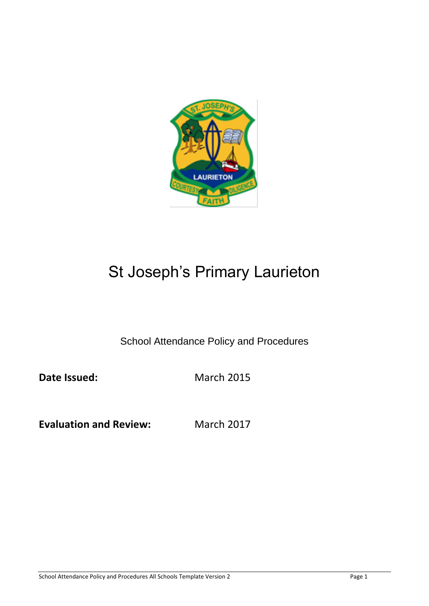

# St Joseph's Primary Laurieton

School Attendance Policy and Procedures

**Date Issued:** March 2015

**Evaluation and Review:** March 2017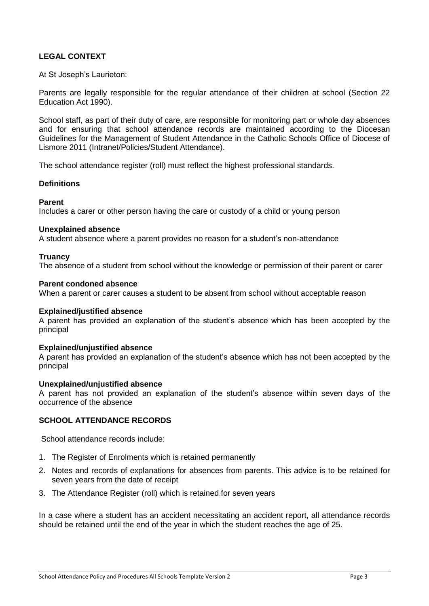## **LEGAL CONTEXT**

At St Joseph's Laurieton:

Parents are legally responsible for the regular attendance of their children at school (Section 22 Education Act 1990).

School staff, as part of their duty of care, are responsible for monitoring part or whole day absences and for ensuring that school attendance records are maintained according to the Diocesan Guidelines for the Management of Student Attendance in the Catholic Schools Office of Diocese of Lismore 2011 (Intranet/Policies/Student Attendance).

The school attendance register (roll) must reflect the highest professional standards.

#### **Definitions**

#### **Parent**

Includes a carer or other person having the care or custody of a child or young person

#### **Unexplained absence**

A student absence where a parent provides no reason for a student's non-attendance

#### **Truancy**

The absence of a student from school without the knowledge or permission of their parent or carer

#### **Parent condoned absence**

When a parent or carer causes a student to be absent from school without acceptable reason

#### **Explained/justified absence**

A parent has provided an explanation of the student's absence which has been accepted by the principal

#### **Explained/unjustified absence**

A parent has provided an explanation of the student's absence which has not been accepted by the principal

#### **Unexplained/unjustified absence**

A parent has not provided an explanation of the student's absence within seven days of the occurrence of the absence

#### **SCHOOL ATTENDANCE RECORDS**

School attendance records include:

- 1. The Register of Enrolments which is retained permanently
- 2. Notes and records of explanations for absences from parents. This advice is to be retained for seven years from the date of receipt
- 3. The Attendance Register (roll) which is retained for seven years

In a case where a student has an accident necessitating an accident report, all attendance records should be retained until the end of the year in which the student reaches the age of 25.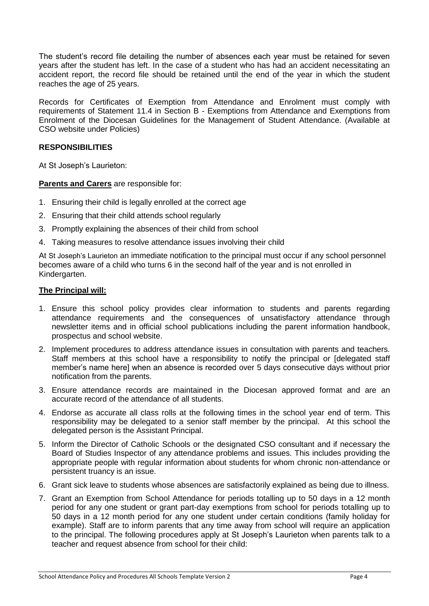The student's record file detailing the number of absences each year must be retained for seven years after the student has left. In the case of a student who has had an accident necessitating an accident report, the record file should be retained until the end of the year in which the student reaches the age of 25 years.

Records for Certificates of Exemption from Attendance and Enrolment must comply with requirements of Statement 11.4 in Section B - Exemptions from Attendance and Exemptions from Enrolment of the Diocesan Guidelines for the Management of Student Attendance. (Available at CSO website under Policies)

#### **RESPONSIBILITIES**

At St Joseph's Laurieton:

**Parents and Carers** are responsible for:

- 1. Ensuring their child is legally enrolled at the correct age
- 2. Ensuring that their child attends school regularly
- 3. Promptly explaining the absences of their child from school
- 4. Taking measures to resolve attendance issues involving their child

At St Joseph's Laurieton an immediate notification to the principal must occur if any school personnel becomes aware of a child who turns 6 in the second half of the year and is not enrolled in Kindergarten.

#### **The Principal will:**

- 1. Ensure this school policy provides clear information to students and parents regarding attendance requirements and the consequences of unsatisfactory attendance through newsletter items and in official school publications including the parent information handbook, prospectus and school website.
- 2. Implement procedures to address attendance issues in consultation with parents and teachers. Staff members at this school have a responsibility to notify the principal or [delegated staff member's name here] when an absence is recorded over 5 days consecutive days without prior notification from the parents.
- 3. Ensure attendance records are maintained in the Diocesan approved format and are an accurate record of the attendance of all students.
- 4. Endorse as accurate all class rolls at the following times in the school year end of term. This responsibility may be delegated to a senior staff member by the principal. At this school the delegated person is the Assistant Principal.
- 5. Inform the Director of Catholic Schools or the designated CSO consultant and if necessary the Board of Studies Inspector of any attendance problems and issues. This includes providing the appropriate people with regular information about students for whom chronic non-attendance or persistent truancy is an issue.
- 6. Grant sick leave to students whose absences are satisfactorily explained as being due to illness.
- 7. Grant an Exemption from School Attendance for periods totalling up to 50 days in a 12 month period for any one student or grant part-day exemptions from school for periods totalling up to 50 days in a 12 month period for any one student under certain conditions (family holiday for example). Staff are to inform parents that any time away from school will require an application to the principal. The following procedures apply at St Joseph's Laurieton when parents talk to a teacher and request absence from school for their child: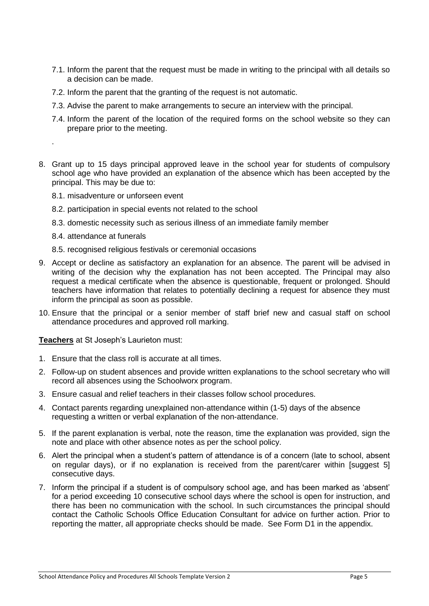- 7.1. Inform the parent that the request must be made in writing to the principal with all details so a decision can be made.
- 7.2. Inform the parent that the granting of the request is not automatic.
- 7.3. Advise the parent to make arrangements to secure an interview with the principal.
- 7.4. Inform the parent of the location of the required forms on the school website so they can prepare prior to the meeting.
- 8. Grant up to 15 days principal approved leave in the school year for students of compulsory school age who have provided an explanation of the absence which has been accepted by the principal. This may be due to:
	- 8.1. misadventure or unforseen event
	- 8.2. participation in special events not related to the school
	- 8.3. domestic necessity such as serious illness of an immediate family member
	- 8.4. attendance at funerals

.

- 8.5. recognised religious festivals or ceremonial occasions
- 9. Accept or decline as satisfactory an explanation for an absence. The parent will be advised in writing of the decision why the explanation has not been accepted. The Principal may also request a medical certificate when the absence is questionable, frequent or prolonged. Should teachers have information that relates to potentially declining a request for absence they must inform the principal as soon as possible.
- 10. Ensure that the principal or a senior member of staff brief new and casual staff on school attendance procedures and approved roll marking.

**Teachers** at St Joseph's Laurieton must:

- 1. Ensure that the class roll is accurate at all times.
- 2. Follow-up on student absences and provide written explanations to the school secretary who will record all absences using the Schoolworx program.
- 3. Ensure casual and relief teachers in their classes follow school procedures.
- 4. Contact parents regarding unexplained non-attendance within (1-5) days of the absence requesting a written or verbal explanation of the non-attendance.
- 5. If the parent explanation is verbal, note the reason, time the explanation was provided, sign the note and place with other absence notes as per the school policy.
- 6. Alert the principal when a student's pattern of attendance is of a concern (late to school, absent on regular days), or if no explanation is received from the parent/carer within [suggest 5] consecutive days.
- 7. Inform the principal if a student is of compulsory school age, and has been marked as 'absent' for a period exceeding 10 consecutive school days where the school is open for instruction, and there has been no communication with the school. In such circumstances the principal should contact the Catholic Schools Office Education Consultant for advice on further action. Prior to reporting the matter, all appropriate checks should be made. See Form D1 in the appendix.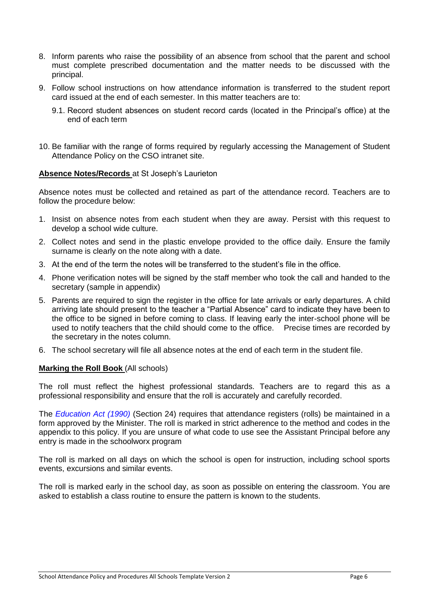- 8. Inform parents who raise the possibility of an absence from school that the parent and school must complete prescribed documentation and the matter needs to be discussed with the principal.
- 9. Follow school instructions on how attendance information is transferred to the student report card issued at the end of each semester. In this matter teachers are to:
	- 9.1. Record student absences on student record cards (located in the Principal's office) at the end of each term
- 10. Be familiar with the range of forms required by regularly accessing the Management of Student Attendance Policy on the CSO intranet site.

#### **Absence Notes/Records** at St Joseph's Laurieton

Absence notes must be collected and retained as part of the attendance record. Teachers are to follow the procedure below:

- 1. Insist on absence notes from each student when they are away. Persist with this request to develop a school wide culture.
- 2. Collect notes and send in the plastic envelope provided to the office daily. Ensure the family surname is clearly on the note along with a date.
- 3. At the end of the term the notes will be transferred to the student's file in the office.
- 4. Phone verification notes will be signed by the staff member who took the call and handed to the secretary (sample in appendix)
- 5. Parents are required to sign the register in the office for late arrivals or early departures. A child arriving late should present to the teacher a "Partial Absence" card to indicate they have been to the office to be signed in before coming to class. If leaving early the inter-school phone will be used to notify teachers that the child should come to the office. Precise times are recorded by the secretary in the notes column.
- 6. The school secretary will file all absence notes at the end of each term in the student file.

#### **Marking the Roll Book** (All schools)

The roll must reflect the highest professional standards. Teachers are to regard this as a professional responsibility and ensure that the roll is accurately and carefully recorded.

The *Education Act (1990)* (Section 24) requires that attendance registers (rolls) be maintained in a form approved by the Minister. The roll is marked in strict adherence to the method and codes in the appendix to this policy. If you are unsure of what code to use see the Assistant Principal before any entry is made in the schoolworx program

The roll is marked on all days on which the school is open for instruction, including school sports events, excursions and similar events.

The roll is marked early in the school day, as soon as possible on entering the classroom. You are asked to establish a class routine to ensure the pattern is known to the students.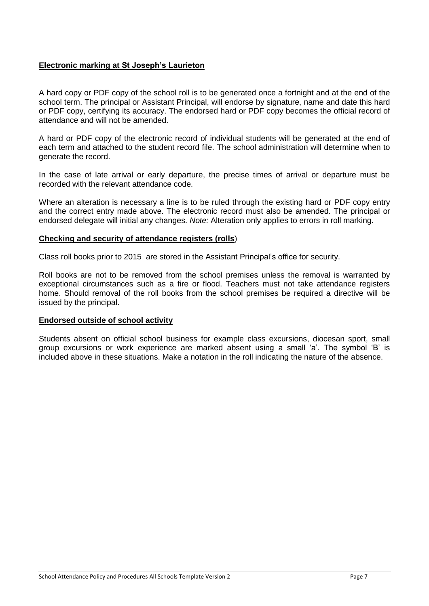### **Electronic marking at St Joseph's Laurieton**

A hard copy or PDF copy of the school roll is to be generated once a fortnight and at the end of the school term. The principal or Assistant Principal, will endorse by signature, name and date this hard or PDF copy, certifying its accuracy. The endorsed hard or PDF copy becomes the official record of attendance and will not be amended.

A hard or PDF copy of the electronic record of individual students will be generated at the end of each term and attached to the student record file. The school administration will determine when to generate the record.

In the case of late arrival or early departure, the precise times of arrival or departure must be recorded with the relevant attendance code.

Where an alteration is necessary a line is to be ruled through the existing hard or PDF copy entry and the correct entry made above. The electronic record must also be amended. The principal or endorsed delegate will initial any changes. *Note:* Alteration only applies to errors in roll marking.

#### **Checking and security of attendance registers (rolls**)

Class roll books prior to 2015 are stored in the Assistant Principal's office for security.

Roll books are not to be removed from the school premises unless the removal is warranted by exceptional circumstances such as a fire or flood. Teachers must not take attendance registers home. Should removal of the roll books from the school premises be required a directive will be issued by the principal.

#### **Endorsed outside of school activity**

Students absent on official school business for example class excursions, diocesan sport, small group excursions or work experience are marked absent using a small 'a'. The symbol 'B' is included above in these situations. Make a notation in the roll indicating the nature of the absence.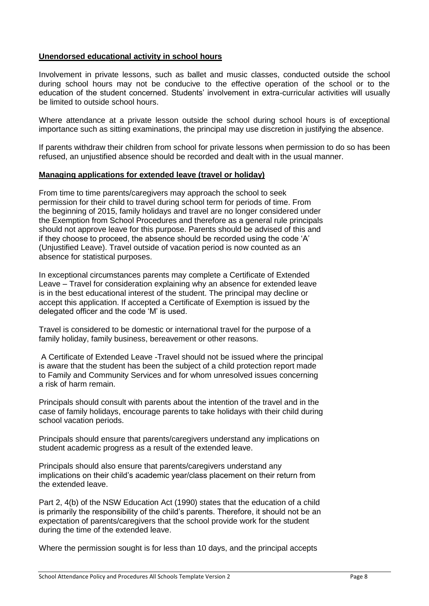### **Unendorsed educational activity in school hours**

Involvement in private lessons, such as ballet and music classes, conducted outside the school during school hours may not be conducive to the effective operation of the school or to the education of the student concerned. Students' involvement in extra-curricular activities will usually be limited to outside school hours.

Where attendance at a private lesson outside the school during school hours is of exceptional importance such as sitting examinations, the principal may use discretion in justifying the absence.

If parents withdraw their children from school for private lessons when permission to do so has been refused, an unjustified absence should be recorded and dealt with in the usual manner.

#### **Managing applications for extended leave (travel or holiday)**

From time to time parents/caregivers may approach the school to seek permission for their child to travel during school term for periods of time. From the beginning of 2015, family holidays and travel are no longer considered under the Exemption from School Procedures and therefore as a general rule principals should not approve leave for this purpose. Parents should be advised of this and if they choose to proceed, the absence should be recorded using the code 'A' (Unjustified Leave). Travel outside of vacation period is now counted as an absence for statistical purposes.

In exceptional circumstances parents may complete a Certificate of Extended Leave – Travel for consideration explaining why an absence for extended leave is in the best educational interest of the student. The principal may decline or accept this application. If accepted a Certificate of Exemption is issued by the delegated officer and the code 'M' is used.

Travel is considered to be domestic or international travel for the purpose of a family holiday, family business, bereavement or other reasons.

A Certificate of Extended Leave -Travel should not be issued where the principal is aware that the student has been the subject of a child protection report made to Family and Community Services and for whom unresolved issues concerning a risk of harm remain.

Principals should consult with parents about the intention of the travel and in the case of family holidays, encourage parents to take holidays with their child during school vacation periods.

Principals should ensure that parents/caregivers understand any implications on student academic progress as a result of the extended leave.

Principals should also ensure that parents/caregivers understand any implications on their child's academic year/class placement on their return from the extended leave.

Part 2, 4(b) of the NSW Education Act (1990) states that the education of a child is primarily the responsibility of the child's parents. Therefore, it should not be an expectation of parents/caregivers that the school provide work for the student during the time of the extended leave.

Where the permission sought is for less than 10 days, and the principal accepts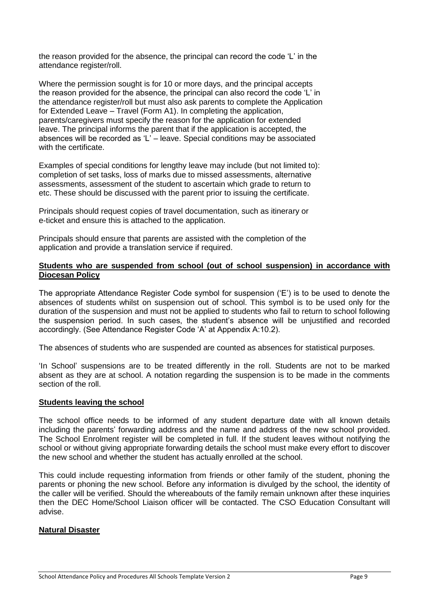the reason provided for the absence, the principal can record the code 'L' in the attendance register/roll.

Where the permission sought is for 10 or more days, and the principal accepts the reason provided for the absence, the principal can also record the code 'L' in the attendance register/roll but must also ask parents to complete the Application for Extended Leave – Travel (Form A1). In completing the application, parents/caregivers must specify the reason for the application for extended leave. The principal informs the parent that if the application is accepted, the absences will be recorded as 'L' – leave. Special conditions may be associated with the certificate.

Examples of special conditions for lengthy leave may include (but not limited to): completion of set tasks, loss of marks due to missed assessments, alternative assessments, assessment of the student to ascertain which grade to return to etc. These should be discussed with the parent prior to issuing the certificate.

Principals should request copies of travel documentation, such as itinerary or e-ticket and ensure this is attached to the application.

Principals should ensure that parents are assisted with the completion of the application and provide a translation service if required.

#### **Students who are suspended from school (out of school suspension) in accordance with Diocesan Policy**

The appropriate Attendance Register Code symbol for suspension ('E') is to be used to denote the absences of students whilst on suspension out of school. This symbol is to be used only for the duration of the suspension and must not be applied to students who fail to return to school following the suspension period. In such cases, the student's absence will be unjustified and recorded accordingly. (See Attendance Register Code 'A' at Appendix A:10.2).

The absences of students who are suspended are counted as absences for statistical purposes.

'In School' suspensions are to be treated differently in the roll. Students are not to be marked absent as they are at school. A notation regarding the suspension is to be made in the comments section of the roll.

#### **Students leaving the school**

The school office needs to be informed of any student departure date with all known details including the parents' forwarding address and the name and address of the new school provided. The School Enrolment register will be completed in full. If the student leaves without notifying the school or without giving appropriate forwarding details the school must make every effort to discover the new school and whether the student has actually enrolled at the school.

This could include requesting information from friends or other family of the student, phoning the parents or phoning the new school. Before any information is divulged by the school, the identity of the caller will be verified. Should the whereabouts of the family remain unknown after these inquiries then the DEC Home/School Liaison officer will be contacted. The CSO Education Consultant will advise.

#### **Natural Disaster**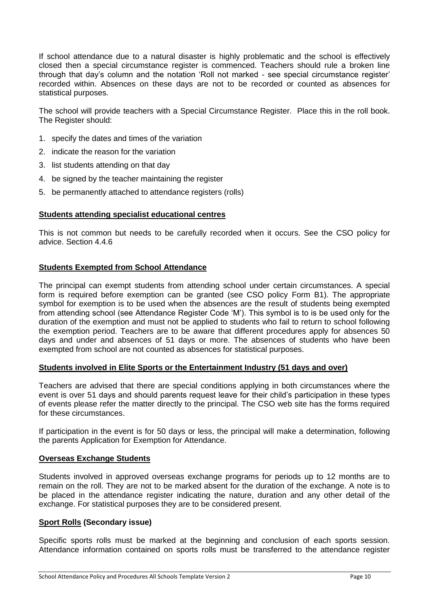If school attendance due to a natural disaster is highly problematic and the school is effectively closed then a special circumstance register is commenced. Teachers should rule a broken line through that day's column and the notation 'Roll not marked - see special circumstance register' recorded within. Absences on these days are not to be recorded or counted as absences for statistical purposes.

The school will provide teachers with a Special Circumstance Register. Place this in the roll book. The Register should:

- 1. specify the dates and times of the variation
- 2. indicate the reason for the variation
- 3. list students attending on that day
- 4. be signed by the teacher maintaining the register
- 5. be permanently attached to attendance registers (rolls)

#### **Students attending specialist educational centres**

This is not common but needs to be carefully recorded when it occurs. See the CSO policy for advice. Section 4.4.6

#### **Students Exempted from School Attendance**

The principal can exempt students from attending school under certain circumstances. A special form is required before exemption can be granted (see CSO policy Form B1). The appropriate symbol for exemption is to be used when the absences are the result of students being exempted from attending school (see Attendance Register Code 'M'). This symbol is to is be used only for the duration of the exemption and must not be applied to students who fail to return to school following the exemption period. Teachers are to be aware that different procedures apply for absences 50 days and under and absences of 51 days or more. The absences of students who have been exempted from school are not counted as absences for statistical purposes.

#### **Students involved in Elite Sports or the Entertainment Industry (51 days and over)**

Teachers are advised that there are special conditions applying in both circumstances where the event is over 51 days and should parents request leave for their child's participation in these types of events please refer the matter directly to the principal. The CSO web site has the forms required for these circumstances.

If participation in the event is for 50 days or less, the principal will make a determination, following the parents Application for Exemption for Attendance.

#### **Overseas Exchange Students**

Students involved in approved overseas exchange programs for periods up to 12 months are to remain on the roll. They are not to be marked absent for the duration of the exchange. A note is to be placed in the attendance register indicating the nature, duration and any other detail of the exchange. For statistical purposes they are to be considered present.

#### **Sport Rolls (Secondary issue)**

Specific sports rolls must be marked at the beginning and conclusion of each sports session. Attendance information contained on sports rolls must be transferred to the attendance register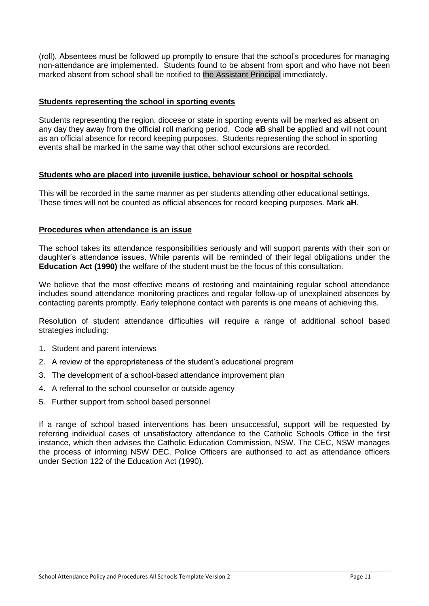(roll). Absentees must be followed up promptly to ensure that the school's procedures for managing non-attendance are implemented. Students found to be absent from sport and who have not been marked absent from school shall be notified to the Assistant Principal immediately.

#### **Students representing the school in sporting events**

Students representing the region, diocese or state in sporting events will be marked as absent on any day they away from the official roll marking period. Code **aB** shall be applied and will not count as an official absence for record keeping purposes. Students representing the school in sporting events shall be marked in the same way that other school excursions are recorded.

### **Students who are placed into juvenile justice, behaviour school or hospital schools**

This will be recorded in the same manner as per students attending other educational settings. These times will not be counted as official absences for record keeping purposes. Mark **aH**.

### **Procedures when attendance is an issue**

The school takes its attendance responsibilities seriously and will support parents with their son or daughter's attendance issues. While parents will be reminded of their legal obligations under the **Education Act (1990)** the welfare of the student must be the focus of this consultation.

We believe that the most effective means of restoring and maintaining regular school attendance includes sound attendance monitoring practices and regular follow-up of unexplained absences by contacting parents promptly. Early telephone contact with parents is one means of achieving this.

Resolution of student attendance difficulties will require a range of additional school based strategies including:

- 1. Student and parent interviews
- 2. A review of the appropriateness of the student's educational program
- 3. The development of a school-based attendance improvement plan
- 4. A referral to the school counsellor or outside agency
- 5. Further support from school based personnel

If a range of school based interventions has been unsuccessful, support will be requested by referring individual cases of unsatisfactory attendance to the Catholic Schools Office in the first instance, which then advises the Catholic Education Commission, NSW. The CEC, NSW manages the process of informing NSW DEC. Police Officers are authorised to act as attendance officers under Section 122 of the Education Act (1990).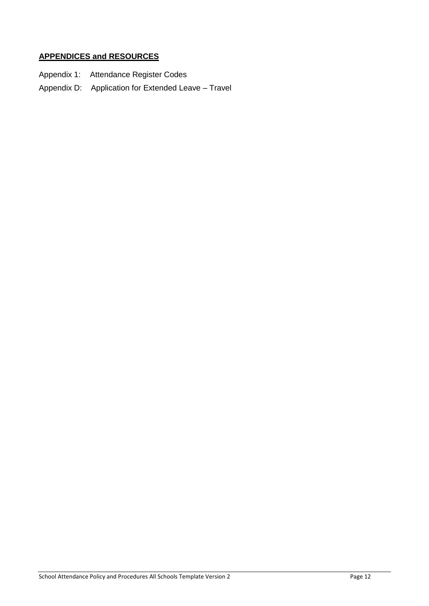# **APPENDICES and RESOURCES**

- Appendix 1: Attendance Register Codes
- Appendix D: Application for Extended Leave Travel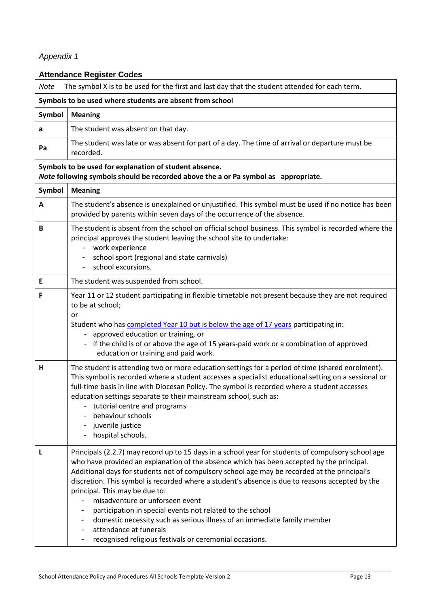# *Appendix 1*

# **Attendance Register Codes**

| The symbol X is to be used for the first and last day that the student attended for each term.<br><b>Note</b>                                |                                                                                                                                                                                                                                                                                                                                                                                                                                                                                                                                                                                                                                                                                                       |  |  |  |
|----------------------------------------------------------------------------------------------------------------------------------------------|-------------------------------------------------------------------------------------------------------------------------------------------------------------------------------------------------------------------------------------------------------------------------------------------------------------------------------------------------------------------------------------------------------------------------------------------------------------------------------------------------------------------------------------------------------------------------------------------------------------------------------------------------------------------------------------------------------|--|--|--|
| Symbols to be used where students are absent from school                                                                                     |                                                                                                                                                                                                                                                                                                                                                                                                                                                                                                                                                                                                                                                                                                       |  |  |  |
| Symbol                                                                                                                                       | <b>Meaning</b>                                                                                                                                                                                                                                                                                                                                                                                                                                                                                                                                                                                                                                                                                        |  |  |  |
| a                                                                                                                                            | The student was absent on that day.                                                                                                                                                                                                                                                                                                                                                                                                                                                                                                                                                                                                                                                                   |  |  |  |
| Pa                                                                                                                                           | The student was late or was absent for part of a day. The time of arrival or departure must be<br>recorded.                                                                                                                                                                                                                                                                                                                                                                                                                                                                                                                                                                                           |  |  |  |
| Symbols to be used for explanation of student absence.<br>Note following symbols should be recorded above the a or Pa symbol as appropriate. |                                                                                                                                                                                                                                                                                                                                                                                                                                                                                                                                                                                                                                                                                                       |  |  |  |
| Symbol                                                                                                                                       | <b>Meaning</b>                                                                                                                                                                                                                                                                                                                                                                                                                                                                                                                                                                                                                                                                                        |  |  |  |
| A                                                                                                                                            | The student's absence is unexplained or unjustified. This symbol must be used if no notice has been<br>provided by parents within seven days of the occurrence of the absence.                                                                                                                                                                                                                                                                                                                                                                                                                                                                                                                        |  |  |  |
| B                                                                                                                                            | The student is absent from the school on official school business. This symbol is recorded where the<br>principal approves the student leaving the school site to undertake:<br>work experience<br>$\overline{\phantom{a}}$<br>school sport (regional and state carnivals)<br>school excursions.                                                                                                                                                                                                                                                                                                                                                                                                      |  |  |  |
| E                                                                                                                                            | The student was suspended from school.                                                                                                                                                                                                                                                                                                                                                                                                                                                                                                                                                                                                                                                                |  |  |  |
| F                                                                                                                                            | Year 11 or 12 student participating in flexible timetable not present because they are not required<br>to be at school;<br>or<br>Student who has completed Year 10 but is below the age of 17 years participating in:<br>- approved education or training, or<br>if the child is of or above the age of 15 years-paid work or a combination of approved<br>education or training and paid work.                                                                                                                                                                                                                                                                                                       |  |  |  |
| н                                                                                                                                            | The student is attending two or more education settings for a period of time (shared enrolment).<br>This symbol is recorded where a student accesses a specialist educational setting on a sessional or<br>full-time basis in line with Diocesan Policy. The symbol is recorded where a student accesses<br>education settings separate to their mainstream school, such as:<br>tutorial centre and programs<br>behaviour schools<br>juvenile justice<br>hospital schools.                                                                                                                                                                                                                            |  |  |  |
| L                                                                                                                                            | Principals (2.2.7) may record up to 15 days in a school year for students of compulsory school age<br>who have provided an explanation of the absence which has been accepted by the principal.<br>Additional days for students not of compulsory school age may be recorded at the principal's<br>discretion. This symbol is recorded where a student's absence is due to reasons accepted by the<br>principal. This may be due to:<br>misadventure or unforseen event<br>participation in special events not related to the school<br>domestic necessity such as serious illness of an immediate family member<br>attendance at funerals<br>recognised religious festivals or ceremonial occasions. |  |  |  |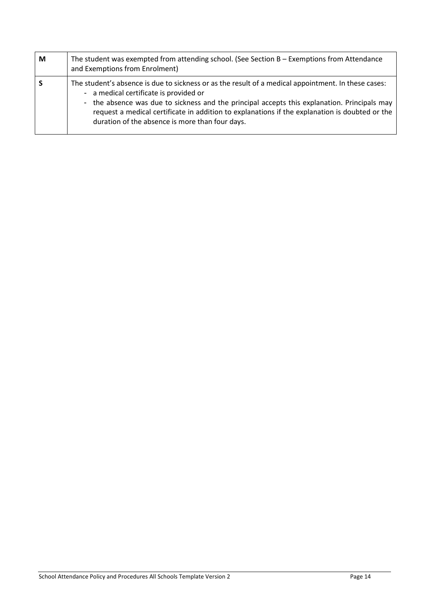| M | The student was exempted from attending school. (See Section $B -$ Exemptions from Attendance<br>and Exemptions from Enrolment)                                                                                                                                                                                                                                                                    |  |  |  |
|---|----------------------------------------------------------------------------------------------------------------------------------------------------------------------------------------------------------------------------------------------------------------------------------------------------------------------------------------------------------------------------------------------------|--|--|--|
| S | The student's absence is due to sickness or as the result of a medical appointment. In these cases:<br>- a medical certificate is provided or<br>- the absence was due to sickness and the principal accepts this explanation. Principals may<br>request a medical certificate in addition to explanations if the explanation is doubted or the<br>duration of the absence is more than four days. |  |  |  |